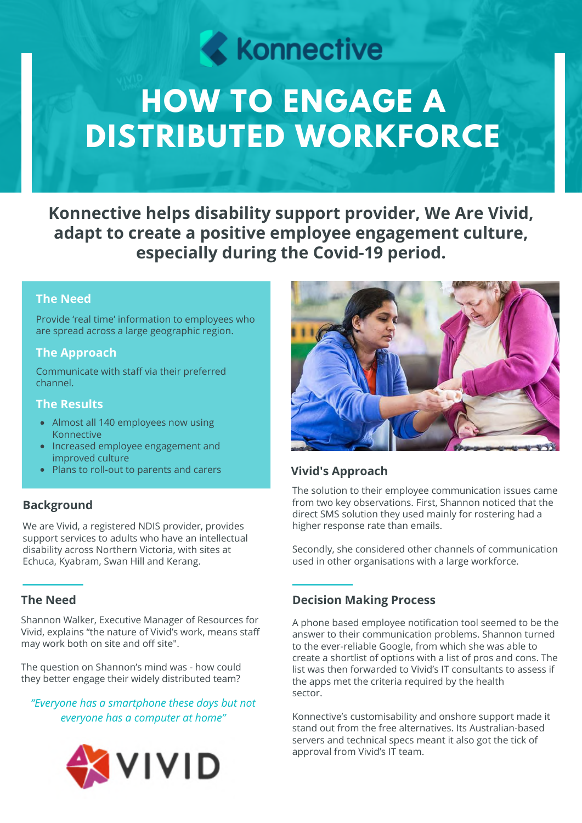# **Konnective**

# **HOW TO ENGAGE A DISTRIBUTED WORKFORCE**

**Konnective helps disability support provider, We Are Vivid, adapt to create a positive employee engagement culture, especially during the Covid-19 period.**

# **The Need**

Provide 'real time' information to employees who are spread across a large geographic region.

# **The Approach**

Communicate with staff via their preferred channel.

## **The Results**

- Almost all 140 employees now using Konnective
- Increased employee engagement and improved culture
- Plans to roll-out to parents and carers

# **Background**

We are Vivid, a registered NDIS provider, provides support services to adults who have an intellectual disability across Northern Victoria, with sites at Echuca, Kyabram, Swan Hill and Kerang.

# **The Need**

Shannon Walker, Executive Manager of Resources for Vivid, explains "the nature of Vivid's work, means staff may work both on site and off site".

The question on Shannon's mind was - how could they better engage their widely distributed team?

*"Everyone has a smartphone these days but not everyone has a computer at home"*





# **Vivid's Approach**

The solution to their employee communication issues came from two key observations. First, Shannon noticed that the direct SMS solution they used mainly for rostering had a higher response rate than emails.

Secondly, she considered other channels of communication used in other organisations with a large workforce.

# **Decision Making Process**

A phone based employee notification tool seemed to be the answer to their communication problems. Shannon turned to the ever-reliable Google, from which she was able to create a shortlist of options with a list of pros and cons. The list was then forwarded to Vivid's IT consultants to assess if the apps met the criteria required by the health sector.

Konnective's customisability and onshore support made it stand out from the free alternatives. Its Australian-based servers and technical specs meant it also got the tick of approval from Vivid's IT team.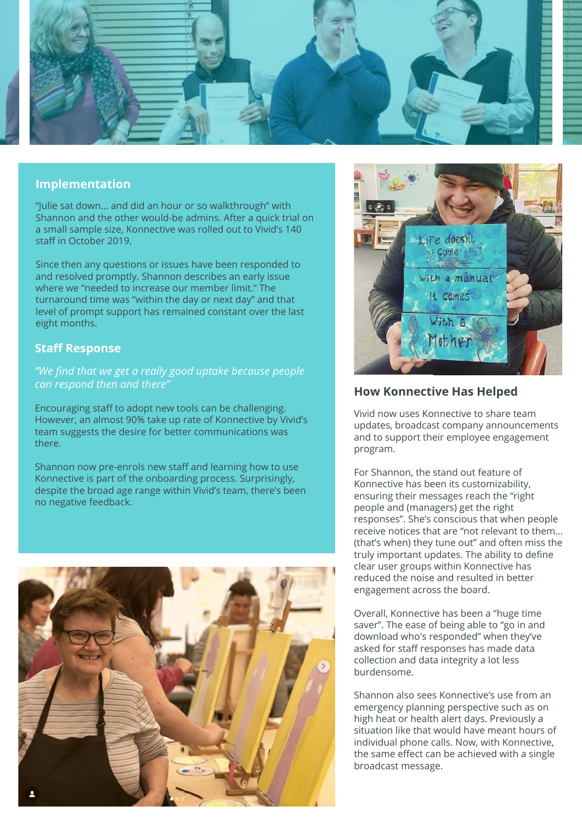

#### **Implementation**

"Julie sat down... and did an hour or so walkthrough" with Shannon and the other would-be admins. After a quick trial on a small sample size, Konnective was rolled out to Vivid's 140 staff in October 2019.

Since then any questions or issues have been responded to and resolved promptly. Shannon describes an early issue where we "needed to increase our member limit." The turnaround time was "within the day or next day" and that level of prompt support has remained constant over the last eight months.

## **Staff Response**

*"We find that we get a really good uptake because people can respond then and there"*

Encouraging staff to adopt new tools can be challenging. However, an almost 90% take up rate of Konnective by Vivid's team suggests the desire for better communications was there.

Shannon now pre-enrols new staff and learning how to use Konnective is part of the onboarding process. Surprisingly, despite the broad age range within Vivid's team, there's been no negative feedback.





## **How Konnective Has Helped**

Vivid now uses Konnective to share team updates, broadcast company announcements and to support their employee engagement program.

For Shannon, the stand out feature of Konnective has been its customizability, ensuring their messages reach the "right people and (managers) get the right responses". She's conscious that when people receive notices that are "not relevant to them... (that's when) they tune out" and often miss the truly important updates. The ability to define clear user groups within Konnective has reduced the noise and resulted in better engagement across the board.

Overall, Konnective has been a "huge time saver". The ease of being able to "go in and download who's responded" when they've asked for staff responses has made data collection and data integrity a lot less burdensome.

Shannon also sees Konnective's use from an emergency planning perspective such as on high heat or health alert days. Previously a situation like that would have meant hours of individual phone calls. Now, with Konnective, the same effect can be achieved with a single broadcast message.